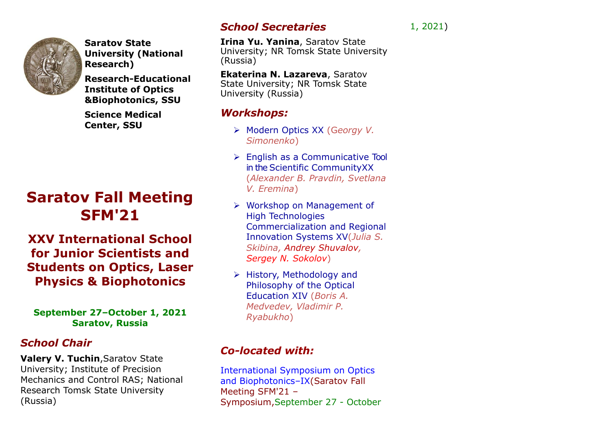

**Saratov State University (National Research)**

**Research-Educational Institute of Optics &Biophotonics, SSU**

**Science Medical Center, SSU**

# **Saratov Fall Meeting SFM'21**

**XXV International School for Junior Scientists and Students on Optics, Laser Physics & Biophotonics**

#### **September 27–October 1, 2021 Saratov, Russia**

# *School Chair*

**Valery V. Tuchin**,Saratov State University; Institute of Precision Mechanics and Control RAS; National Research Tomsk State University (Russia)

# *School Secretaries*

**Irina Yu. Yanina**, Saratov State University; NR Tomsk State University (Russia)

**Ekaterina N. Lazareva**, Saratov State University; NR Tomsk State University (Russia)

## *Workshops:*

- ➢ Modern Optics XX (G*eorgy V. Simonenko*)
- ➢ English as a Communicative Tool in the Scientific CommunityXX (*Alexander B. Pravdin, Svetlana V. Eremina*)
- ➢ Workshop on Management of High Technologies Commercialization and Regional Innovation Systems XV(*Julia S. Skibina, Andrey Shuvalov, Sergey N. Sokolov*)
- ➢ History, Methodology and Philosophy of the Optical Education XIV (*Boris A. Medvedev, Vladimir P. Ryabukho*)

# *Co-located with:*

International Symposium on Optics and Biophotonics–IX(Saratov Fall Meeting SFM'21 – Symposium,September 27 - October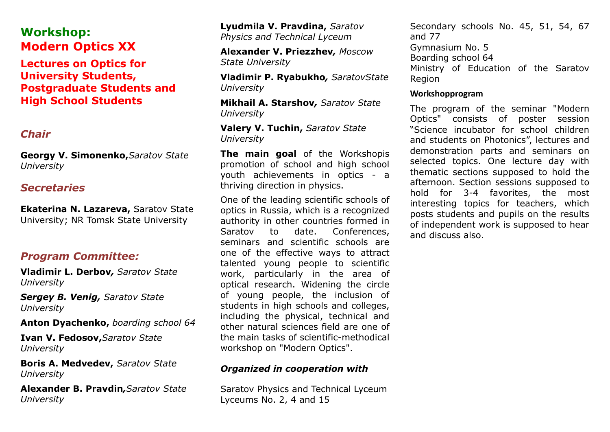# **Workshop: Modern Optics XX**

**Lectures on Optics for University Students, Postgraduate Students and High School Students**

## *Chair*

**Georgy V. Simonenko,***Saratov State University*

### *Secretaries*

**Ekaterina N. Lazareva,** Saratov State University; NR Tomsk State University

## *Program Committee:*

**Vladimir L. Derbov***, Saratov State University*

*Sergey B. Venig, Saratov State University*

**Anton Dyachenko,** *boarding school 64*

**Ivan V. Fedosov,***Saratov State University*

**Boris A. Medvedev,** *Saratov State University*

**Alexander B. Pravdin***,Saratov State University* 

**Lyudmila V. Pravdina,** *Saratov Physics and Technical Lyceum*

**Alexander V. Priezzhev***, Moscow State University* 

**Vladimir P. Ryabukho***, SaratovState University* 

**Mikhail A. Starshov***, Saratov State University* 

#### **Valery V. Tuchin,** *Saratov State University*

**The main goal** of the Workshopis promotion of school and high school youth achievements in optics - a thriving direction in physics.

One of the leading scientific schools of optics in Russia, which is a recognized authority in other countries formed in Saratov to date. Conferences, seminars and scientific schools are one of the effective ways to attract talented young people to scientific work, particularly in the area of optical research. Widening the circle of young people, the inclusion of students in high schools and colleges, including the physical, technical and other natural sciences field are one of the main tasks of scientific-methodical workshop on "Modern Optics".

#### *Organized in cooperation with*

Saratov Physics and Technical Lyceum Lyceums No. 2, 4 and 15

Secondary schools No. 45, 51, 54, 67 and 77 Gymnasium No. 5 Boarding school 64 Ministry of Education of the Saratov Region

#### **Workshopprogram**

The program of the seminar "Modern Optics" consists of poster session "Science incubator for school children and students on Photonics", lectures and demonstration parts and seminars on selected topics. One lecture day with thematic sections supposed to hold the afternoon. Section sessions supposed to hold for 3-4 favorites, the most interesting topics for teachers, which posts students and pupils on the results of independent work is supposed to hear and discuss also.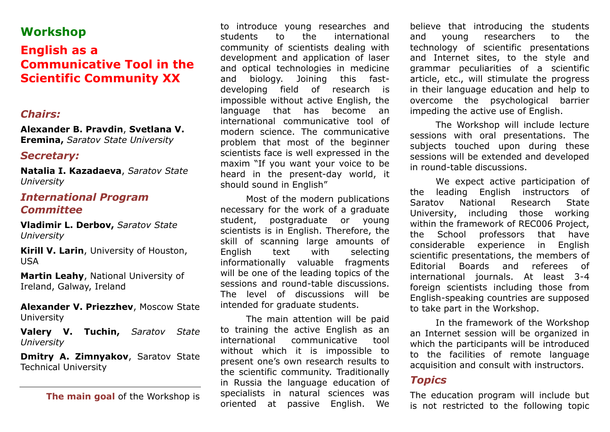# **Workshop**

# **English as a Communicative Tool in the Scientific Community XX**

### *Chairs:*

**Alexander B. Pravdin**, **Svetlana V. Eremina,** *Saratov State University*

#### *Secretary:*

**Natalia I. Kazadaeva**, *Saratov State University*

### *International Program Committee*

**Vladimir L. Derbov,** *Saratov State University*

**Kirill V. Larin**, University of Houston, USA

**Martin Leahy**, National University of Ireland, Galway, Ireland

**Alexander V. Priezzhev**, Moscow State University

**Valery V. Tuchin,** *Saratov State University*

**Dmitry A. Zimnyakov**, Saratov State Technical University

**The main goal** of the Workshop is

to introduce young researches and students to the international community of scientists dealing with development and application of laser and optical technologies in medicine and biology. Joining this fastdeveloping field of research is impossible without active English, the language that has become an international communicative tool of modern science. The communicative problem that most of the beginner scientists face is well expressed in the maxim "If you want your voice to be heard in the present-day world, it should sound in English"

Most of the modern publications necessary for the work of a graduate student, postgraduate or young scientists is in English. Therefore, the skill of scanning large amounts of English text with selecting informationally valuable fragments will be one of the leading topics of the sessions and round-table discussions. The level of discussions will be intended for graduate students.

The main attention will be paid to training the active English as an international communicative tool without which it is impossible to present one's own research results to the scientific community. Traditionally in Russia the language education of specialists in natural sciences was oriented at passive English. We

believe that introducing the students and young researchers to the technology of scientific presentations and Internet sites, to the style and grammar peculiarities of a scientific article, etc., will stimulate the progress in their language education and help to overcome the psychological barrier impeding the active use of English.

The Workshop will include lecture sessions with oral presentations. The subjects touched upon during these sessions will be extended and developed in round-table discussions.

We expect active participation of the leading English instructors of Saratov National Research State University, including those working within the framework of REC006 Project, the School professors that have considerable experience in English scientific presentations, the members of Editorial Boards and referees of international journals. At least 3-4 foreign scientists including those from English-speaking countries are supposed to take part in the Workshop.

In the framework of the Workshop an Internet session will be organized in which the participants will be introduced to the facilities of remote language acquisition and consult with instructors.

# *Topics*

The education program will include but is not restricted to the following topic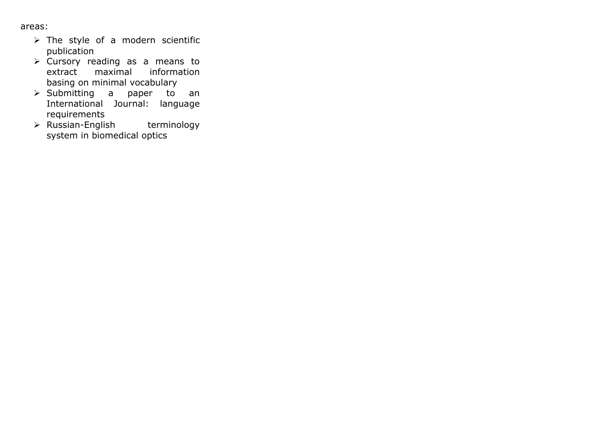areas:

- ➢ The style of a modern scientific publication
- ➢ Cursory reading as a means to extract maximal information basing on minimal vocabulary
- ➢ Submitting a paper to an International Journal: language requirements
- ➢ Russian-English terminology system in biomedical optics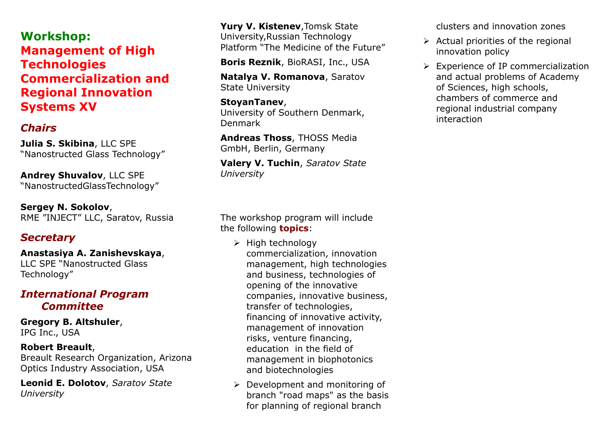**Workshop: Management of High Technologies Commercialization and Regional Innovation Systems XV**

# *Chairs*

**Julia S. Skibina**, LLC SPE "Nanostructed Glass Technology"

**Andrey Shuvalov**, LLC SPE "NanostructedGlassTechnology"

**Sergey N. Sokolov**, RME "INJECT" LLC, Saratov, Russia

## *Secretary*

**Anastasiya A. Zanishevskaya**, LLC SPE "Nanostructed Glass Technology"

## *International Program Committee*

**Gregory B. Altshuler**, IPG Inc., USA

#### **Robert Breault**,

Breault Research Organization, Arizona Optics Industry Association, USA

**Leonid E. Dolotov**, *Saratov State University*

**Yury V. Kistenev**,Tomsk State University,Russian Technology Platform "The Medicine of the Future"

**Boris Reznik**, BioRASI, Inc., USA

**Natalya V. Romanova**, Saratov State University

#### **StoyanTanev**, University of Southern Denmark, Denmark

**Andreas Thoss**, THOSS Media GmbH, Berlin, Germany

**Valery V. Tuchin**, *Saratov State University*

clusters and innovation zones

- $\triangleright$  Actual priorities of the regional innovation policy
- ➢ Experience of IP commercialization and actual problems of Academy of Sciences, high schools, chambers of commerce and regional industrial company interaction

The workshop program will include the following **topics**:

- ➢ High technology commercialization, innovation management, high technologies and business, technologies of opening of the innovative companies, innovative business, transfer of technologies, financing of innovative activity, management of innovation risks, venture financing, education in the field of management in biophotonics and biotechnologies
- ➢ Development and monitoring of branch "road maps" as the basis for planning of regional branch